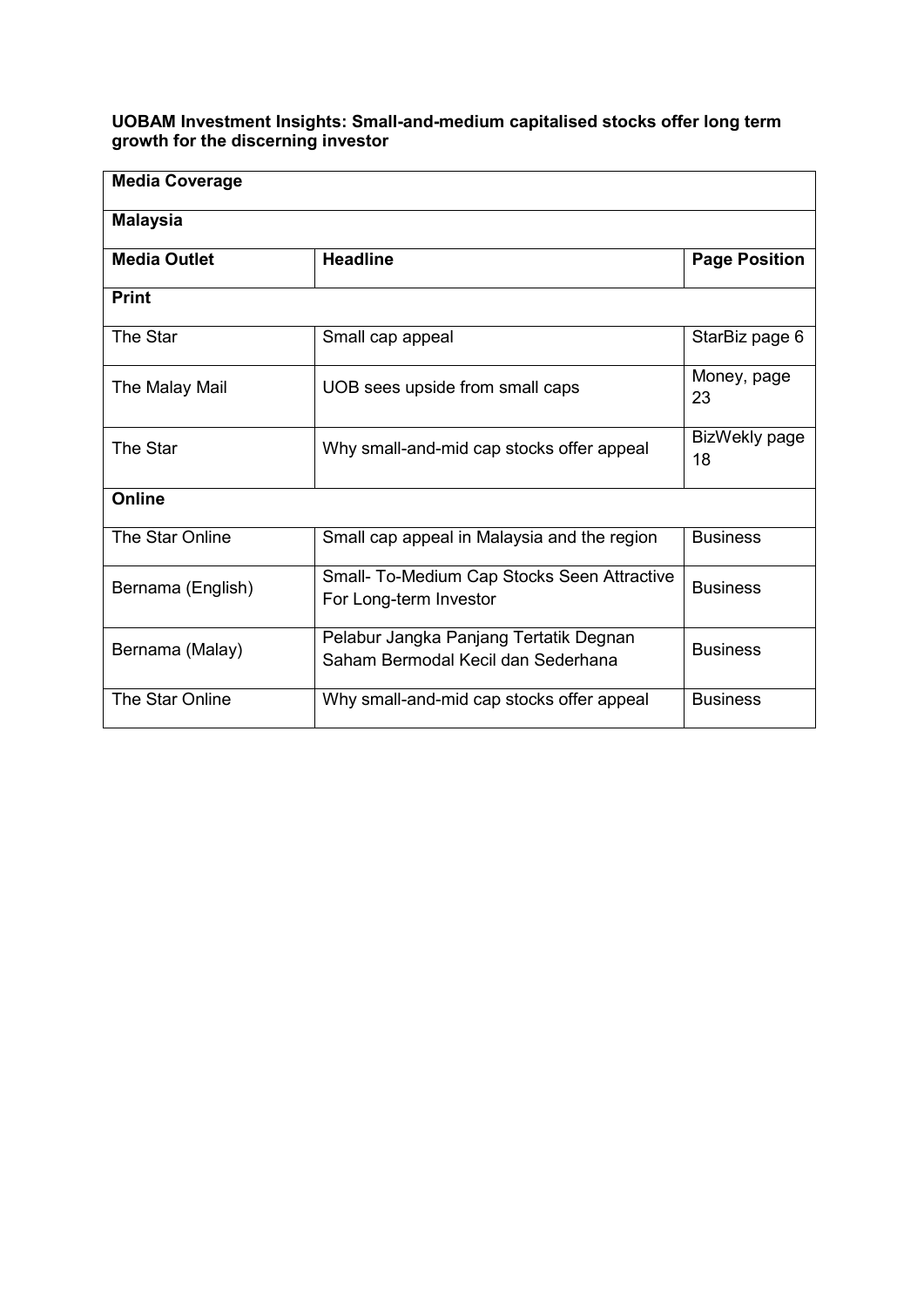## **UOBAM Investment Insights: Small-and-medium capitalised stocks offer long term growth for the discerning investor**

| <b>Media Coverage</b> |                                                                              |                      |  |  |  |
|-----------------------|------------------------------------------------------------------------------|----------------------|--|--|--|
| <b>Malaysia</b>       |                                                                              |                      |  |  |  |
| <b>Media Outlet</b>   | <b>Headline</b>                                                              | <b>Page Position</b> |  |  |  |
| <b>Print</b>          |                                                                              |                      |  |  |  |
| The Star              | Small cap appeal                                                             | StarBiz page 6       |  |  |  |
| The Malay Mail        | UOB sees upside from small caps                                              | Money, page<br>23    |  |  |  |
| The Star              | Why small-and-mid cap stocks offer appeal                                    | BizWekly page<br>18  |  |  |  |
| <b>Online</b>         |                                                                              |                      |  |  |  |
| The Star Online       | Small cap appeal in Malaysia and the region                                  | <b>Business</b>      |  |  |  |
| Bernama (English)     | Small- To-Medium Cap Stocks Seen Attractive<br>For Long-term Investor        | <b>Business</b>      |  |  |  |
| Bernama (Malay)       | Pelabur Jangka Panjang Tertatik Degnan<br>Saham Bermodal Kecil dan Sederhana | <b>Business</b>      |  |  |  |
| The Star Online       | Why small-and-mid cap stocks offer appeal                                    | <b>Business</b>      |  |  |  |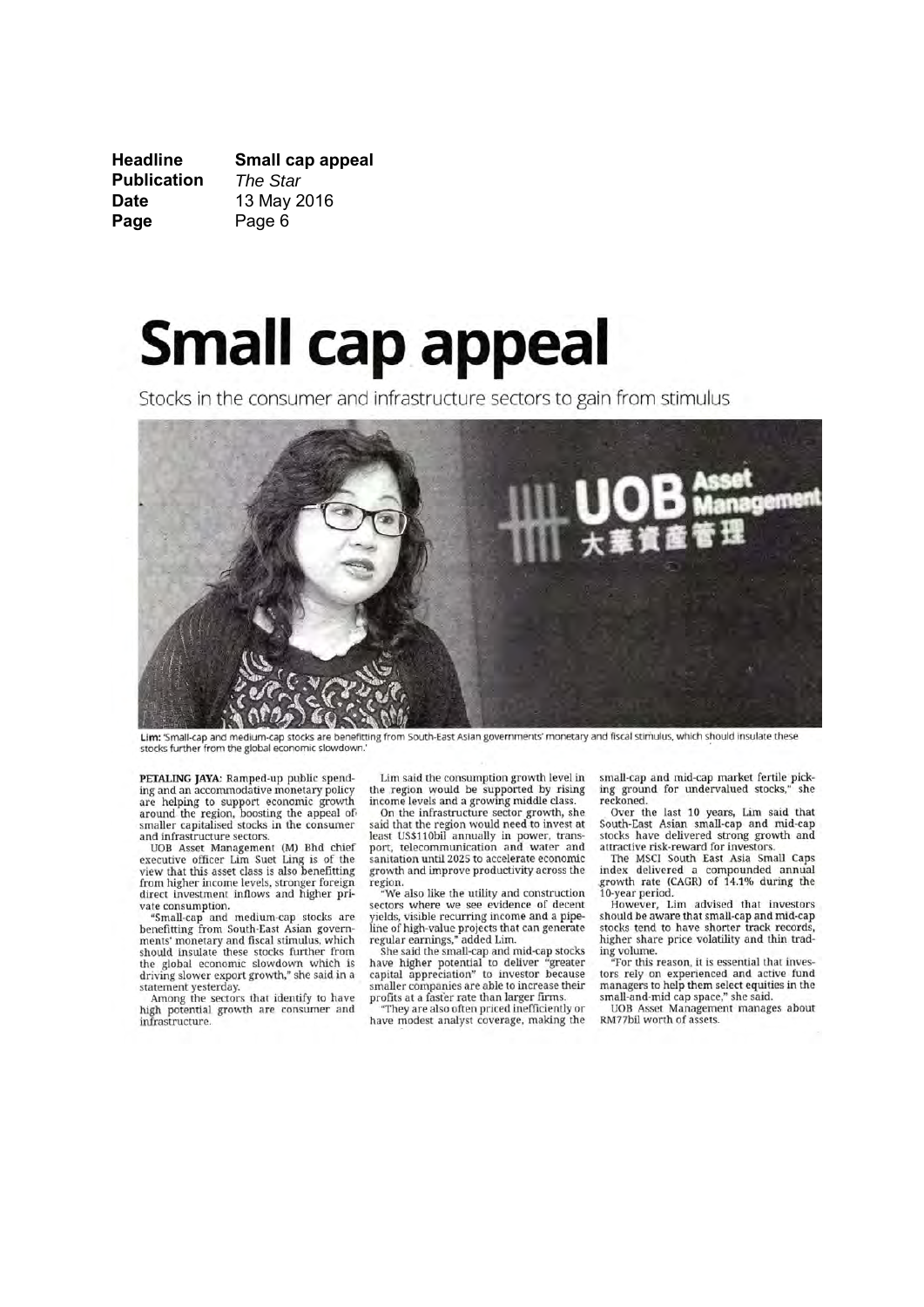**Headline** Small cap appeal **Publication** The Star **Date** 13 May 2016 Page Page 6

# **Small cap appeal**

Stocks in the consumer and infrastructure sectors to gain from stimulus



Lim: 'Small-cap and medium-cap stocks are benefitting from South-East Asian governments' monetary and fiscal stimulus, which should insulate these stocks further from the global economic slowdown.

PETALING JAYA: Ramped-up public spending and an accommodative monetary policy are helping to support economic growth around the region, boosting the appeal of<br>smaller capitalised stocks in the consumer and infrastructure sectors.

UOB Asset Management (M) Bhd chief<br>executive officer Lim Suet Ling is of the view that this asset class is also benefitting from higher income levels, stronger foreign<br>direct investment inflows and higher private consumption.

"Small-cap and medium-cap stocks are<br>benefitting from South-East Asian governments' monetary and fiscal stimulus, which should insulate these stocks further from<br>the global economic slowdown which is driving slower export growth," she said in a

statement yesterday.<br>Among the sectors that identify to have high potential growth are consumer and infrastructure.

Lim said the consumption growth level in the region would be supported by rising income levels and a growing middle class

On the infrastructure sector growth, she<br>said that the region would need to invest at least US\$110bil annually in power, transport, telecommunication and water and sanitation until 2025 to accelerate economic growth and improve productivity across the

region.<br>"We also like the utility and construction sectors where we see evidence of decent<br>yields, visible recurring income and a pipepress, visible projects that can generate<br>regular earnings," added Lim.<br>She said the small-cap and mid-cap stocks

the state international to deliver "greater<br>capital appreciation" to investor because<br>smaller companies are able to increase their profits at a faster rate than larger firms.

"They are also often priced inefficiently or have modest analyst coverage, making the small-cap and mid-cap market fertile picking ground for undervalued stocks," she reckoned.

Over the last 10 years, Lim said that<br>South-East Asian small-cap and mid-cap stocks have delivered strong growth and attractive risk-reward for investors.

The MSCI South East Asia Small Caps index delivered a compounded annual<br>growth rate (CAGR) of 14.1% during the 10-year period.

However, Lim advised that investors<br>should be aware that small-cap and mid-cap stocks tend to have shorter track records, higher share price volatility and thin trading volume.<br>"For this reason, it is essential that inves-

tors rely on experienced and active fund<br>managers to help them select equities in the small-and-mid cap space," she said.<br>UOB Asset Management manages about

RM77bil worth of assets.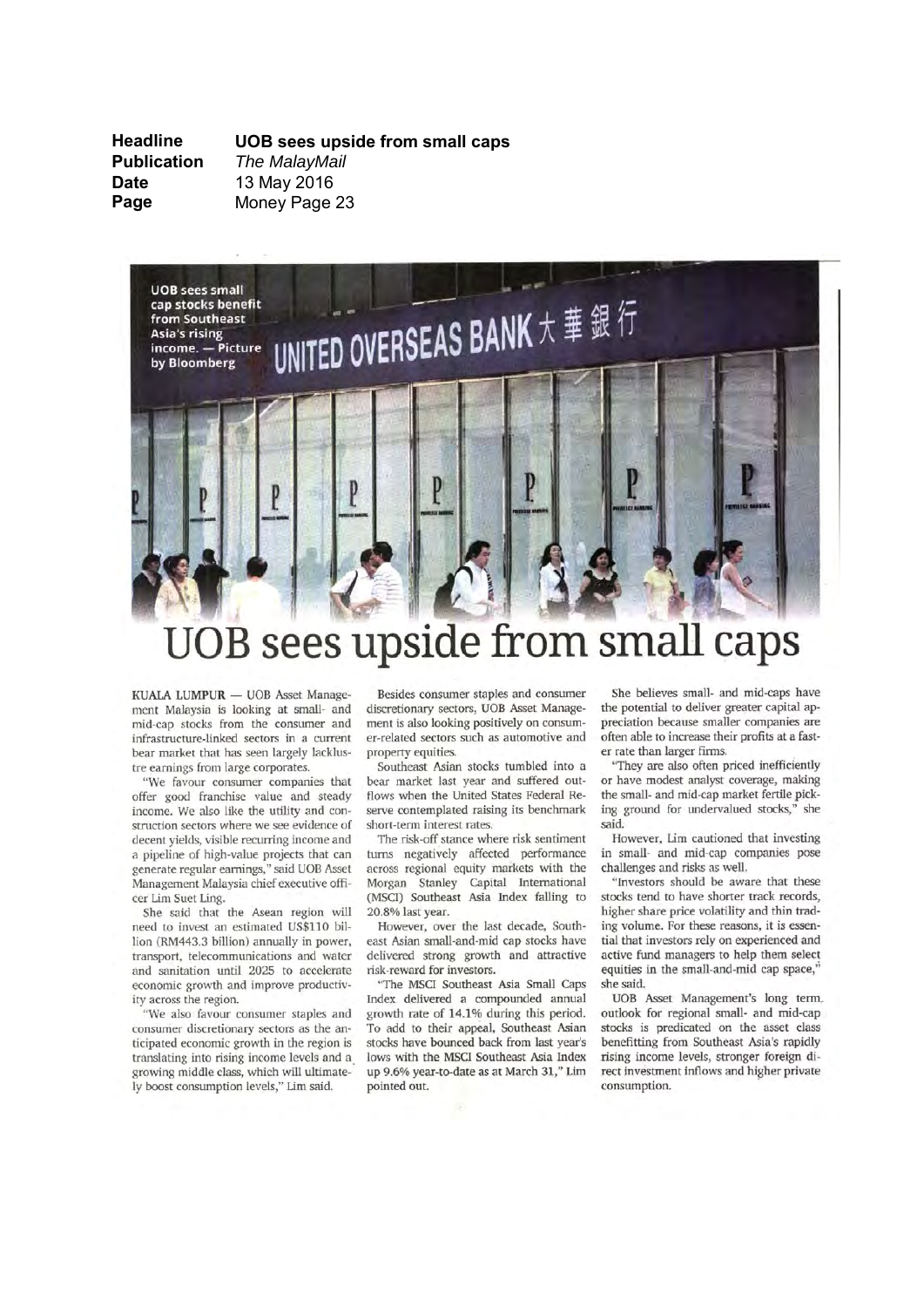**Headline Publication Date** Page

UOB sees upside from small caps The MalayMail 13 May 2016 Money Page 23



## OB sees upside from small caps

KUALA LUMPUR - UOB Asset Management Malaysia is looking at small- and mid-cap stocks from the consumer and infrastructure-linked sectors in a current bear market that has seen largely lacklustre earnings from large corporates.

"We favour consumer companies that offer good franchise value and steady income. We also like the utility and construction sectors where we see evidence of decent yields, visible recurring income and a pipeline of high-value projects that can generate regular earnings," said UOB Asset Management Malaysia chief executive officer Lim Suet Ling.

She said that the Asean region will need to invest an estimated US\$110 billion (RM443.3 billion) annually in power, transport, telecommunications and water and sanitation until 2025 to accelerate economic growth and improve productivity across the region.

"We also favour consumer staples and consumer discretionary sectors as the anticipated economic growth in the region is translating into rising income levels and a growing middle class, which will ultimately boost consumption levels," Lim said.

Besides consumer staples and consumer discretionary sectors, UOB Asset Management is also looking positively on consumer-related sectors such as automotive and property equities.

Southeast Asian stocks tumbled into a bear market last year and suffered outflows when the United States Federal Reserve contemplated raising its benchmark short-term interest rates.

The risk-off stance where risk sentiment turns negatively affected performance across regional equity markets with the Morgan Stanley Capital International (MSCI) Southeast Asia Index falling to 20.8% last year.

However, over the last decade, Southeast Asian small-and-mid cap stocks have delivered strong growth and attractive risk-reward for investors.

"The MSCI Southeast Asia Small Caps Index delivered a compounded annual growth rate of 14.1% during this period. To add to their appeal, Southeast Asian stocks have bounced back from last year's lows with the MSCI Southeast Asia Index up 9.6% year-to-date as at March 31," Lim pointed out.

She believes small- and mid-caps have the potential to deliver greater capital appreciation because smaller companies are often able to increase their profits at a faster rate than larger firms.

"They are also often priced inefficiently or have modest analyst coverage, making the small- and mid-cap market fertile picking ground for undervalued stocks," she said.

However, Lim cautioned that investing in small- and mid-cap companies pose challenges and risks as well.

"Investors should be aware that these stocks tend to have shorter track records. higher share price volatility and thin trading volume. For these reasons, it is essential that investors rely on experienced and active fund managers to help them select equities in the small-and-mid cap space," she said.

UOB Asset Management's long term. outlook for regional small- and mid-cap stocks is predicated on the asset class benefitting from Southeast Asia's rapidly rising income levels, stronger foreign direct investment inflows and higher private consumption.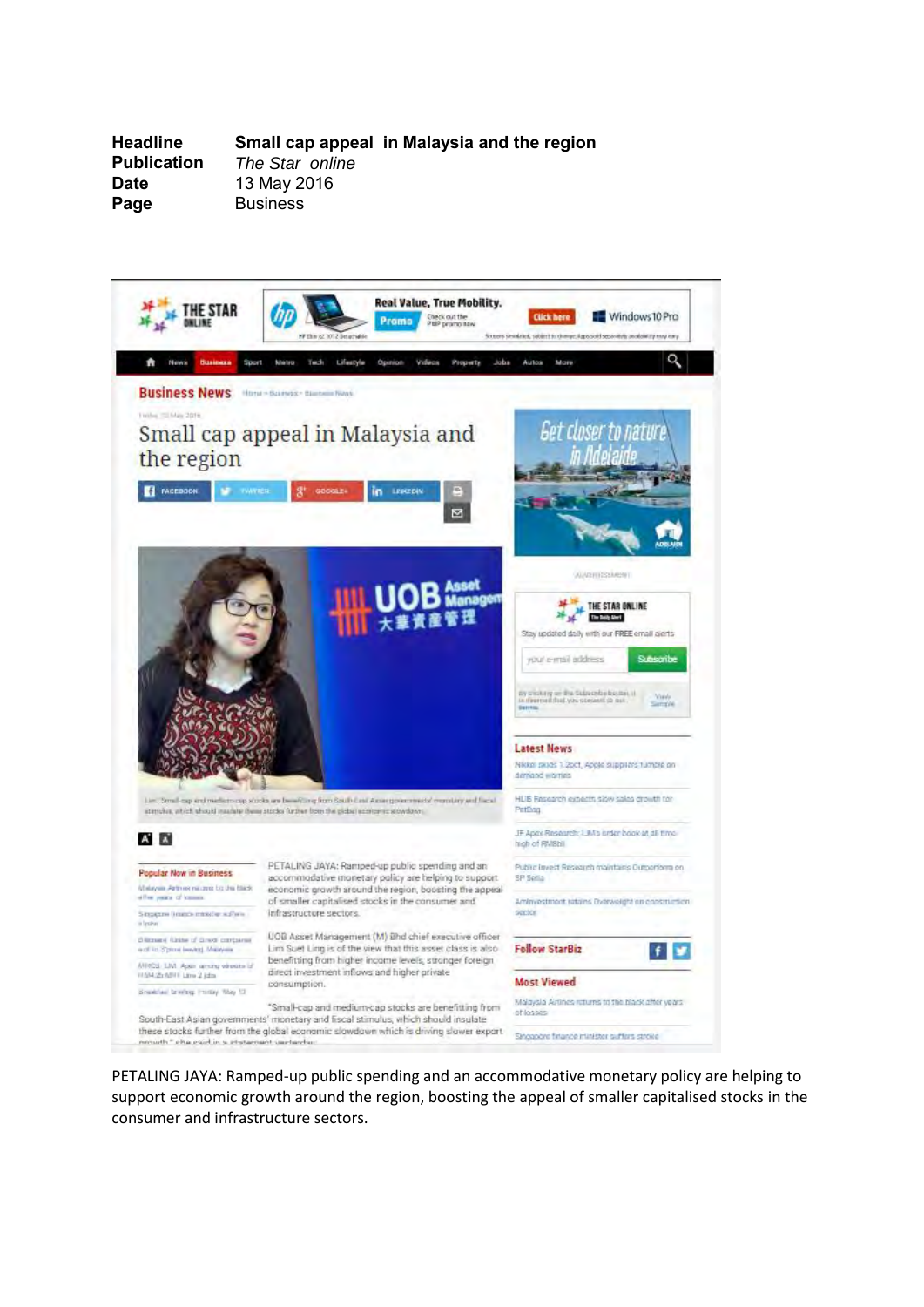**Headline Small cap appeal in Malaysia and the region The Star online Date** 13 May 2016<br> **Page** Business **Page** Business



PETALING JAYA: Ramped-up public spending and an accommodative monetary policy are helping to support economic growth around the region, boosting the appeal of smaller capitalised stocks in the consumer and infrastructure sectors.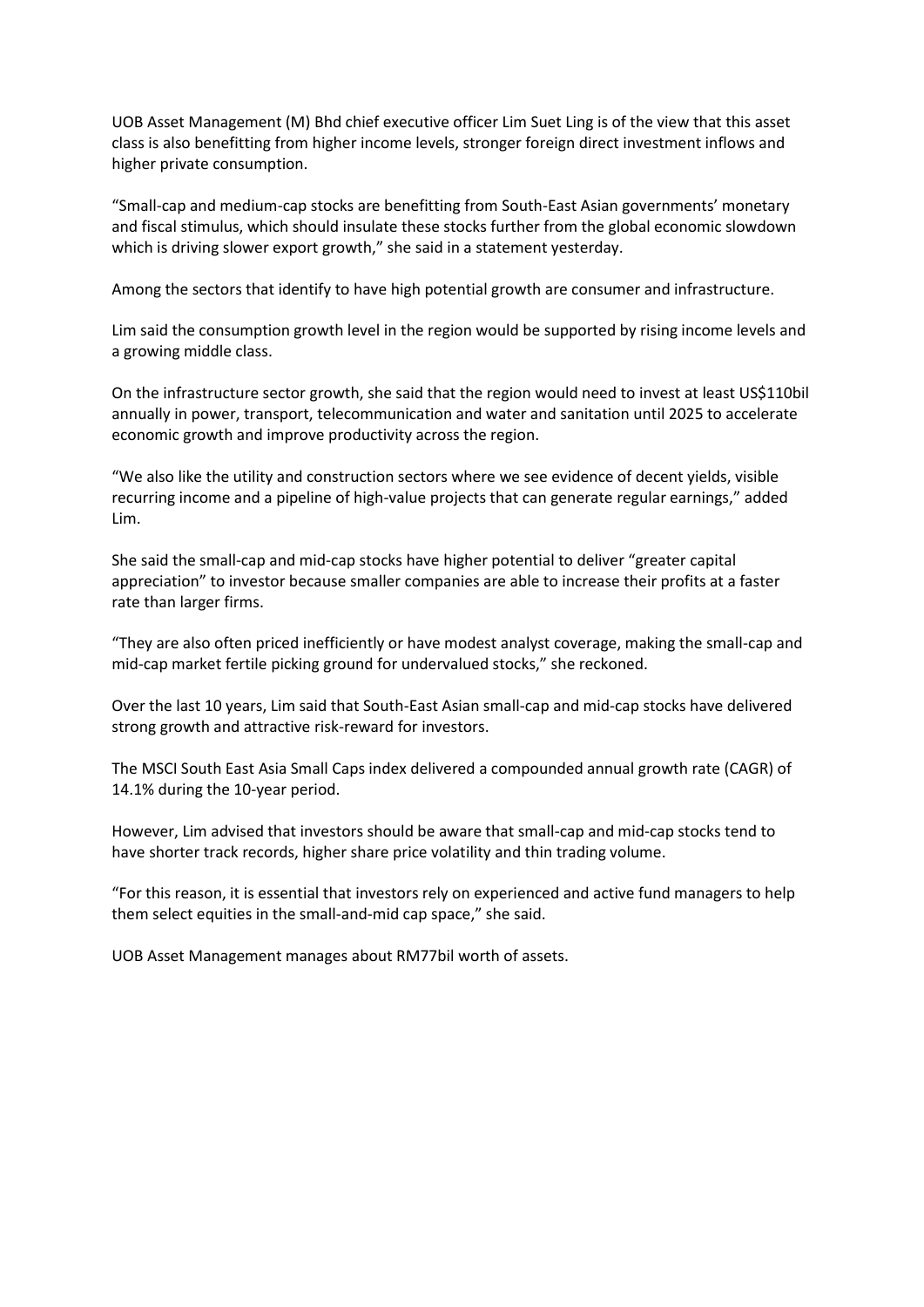UOB Asset Management (M) Bhd chief executive officer Lim Suet Ling is of the view that this asset class is also benefitting from higher income levels, stronger foreign direct investment inflows and higher private consumption.

"Small-cap and medium-cap stocks are benefitting from South-East Asian governments' monetary and fiscal stimulus, which should insulate these stocks further from the global economic slowdown which is driving slower export growth," she said in a statement yesterday.

Among the sectors that identify to have high potential growth are consumer and infrastructure.

Lim said the consumption growth level in the region would be supported by rising income levels and a growing middle class.

On the infrastructure sector growth, she said that the region would need to invest at least US\$110bil annually in power, transport, telecommunication and water and sanitation until 2025 to accelerate economic growth and improve productivity across the region.

"We also like the utility and construction sectors where we see evidence of decent yields, visible recurring income and a pipeline of high-value projects that can generate regular earnings," added Lim.

She said the small-cap and mid-cap stocks have higher potential to deliver "greater capital appreciation" to investor because smaller companies are able to increase their profits at a faster rate than larger firms.

"They are also often priced inefficiently or have modest analyst coverage, making the small-cap and mid-cap market fertile picking ground for undervalued stocks," she reckoned.

Over the last 10 years, Lim said that South-East Asian small-cap and mid-cap stocks have delivered strong growth and attractive risk-reward for investors.

The MSCI South East Asia Small Caps index delivered a compounded annual growth rate (CAGR) of 14.1% during the 10-year period.

However, Lim advised that investors should be aware that small-cap and mid-cap stocks tend to have shorter track records, higher share price volatility and thin trading volume.

"For this reason, it is essential that investors rely on experienced and active fund managers to help them select equities in the small-and-mid cap space," she said.

UOB Asset Management manages about RM77bil worth of assets.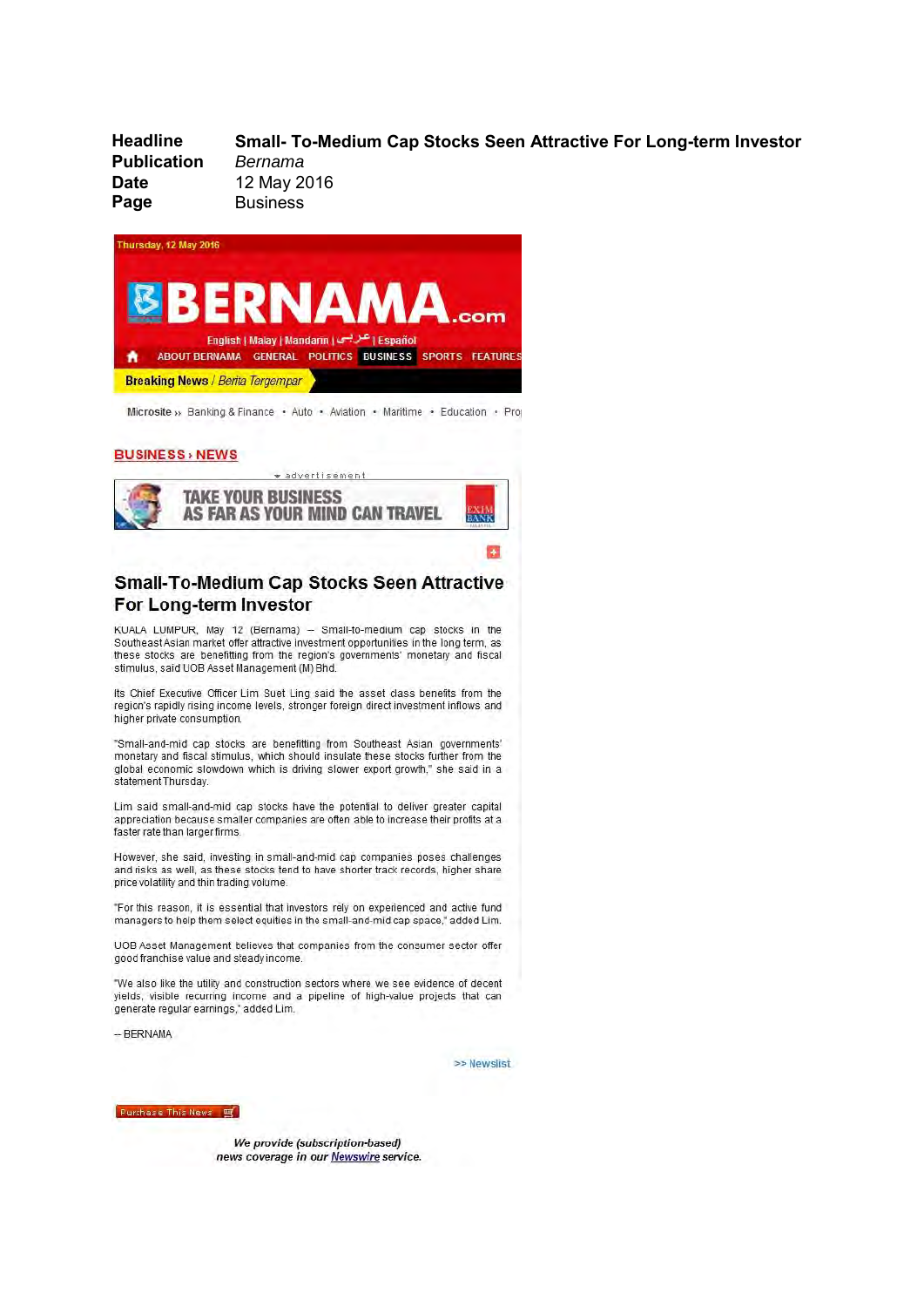**Headline** Small- To-Medium Cap Stocks Seen Attractive For Long-term Investor **Publication** Bernama 12 May 2016 **Date** Page **Business** 



Microsite » Banking & Finance · Auto · Aviation · Maritime · Education · Proj

### **BUSINESS** > NEWS



## Small-To-Medium Cap Stocks Seen Attractive For Long-term Investor

KUALA LUMPUR, May 12 (Bernama) -- Small-to-medium cap stocks in the Southeast Asian market offer attractive investment opportunities in the long term, as these stocks are benefitting from the region's governments' monetary and fiscal stimulus, said UOB Asset Management (M) Bhd.

Its Chief Executive Officer Lim Suet Ling said the asset class benefits from the region's rapidly rising income levels, stronger foreign direct investment inflows and higher private consumption.

"Small-and-mid cap stocks are benefitting from Southeast Asian governments' monetary and fiscal stimulus, which should insulate these stocks further from the global economic slowdown which is driving slower export growth," she said in a statement Thursday.

Lim said small-and-mid cap stocks have the potential to deliver greater capital appreciation because smaller companies are often able to increase their profits at a faster rate than larger firms.

However, she said, investing in small-and-mid cap companies poses challenges and risks as well, as these stocks tend to have shorter track records, higher share price volatility and thin trading volume.

"For this reason, it is essential that investors rely on experienced and active fund managers to help them select equities in the small-and-mid cap space," added Lim.

UOB Asset Management believes that companies from the consumer sector offer good franchise value and steady income.

"We also like the utility and construction sectors where we see evidence of decent yields, visible recurring income and a pipeline of high-value projects that can generate regular earnings," added Lim.

-- BERNAMA

>> Newslist

Purchase This News 9

We provide (subscription-based) news coverage in our Newswire service.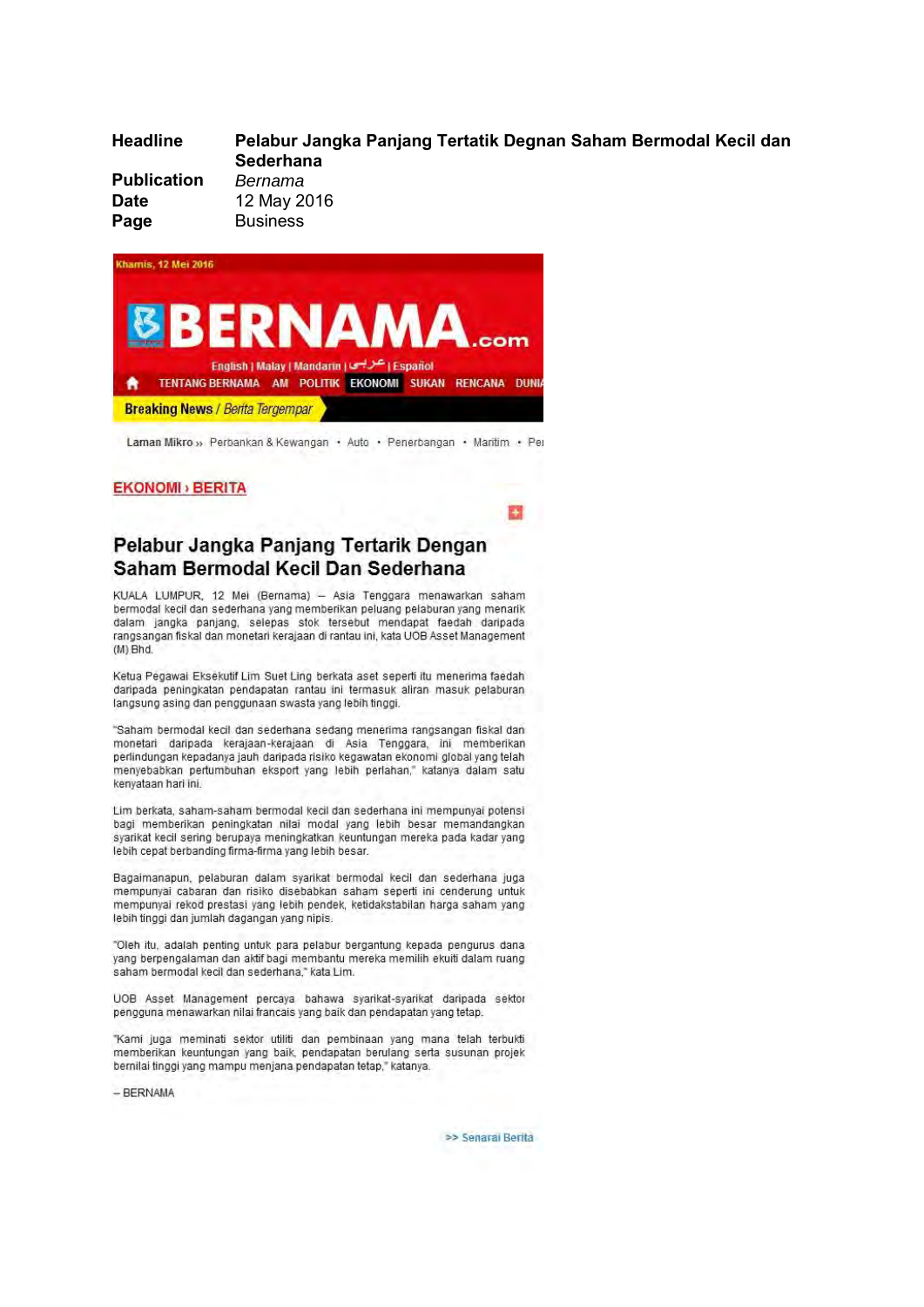| <b>Headline</b>    | Pelabur Jangka Panjang Tertatik Degnan Saham Bermodal Kecil dan<br><b>Sederhana</b> |
|--------------------|-------------------------------------------------------------------------------------|
| <b>Publication</b> | Bernama                                                                             |
| <b>Date</b>        | 12 May 2016                                                                         |
| Page               | <b>Business</b>                                                                     |

**PA** 



Laman Mikro » Perbankan & Kewangan · Auto · Penerbangan · Maritim · Per

## **EKONOMI** > BERITA

Pelabur Jangka Panjang Tertarik Dengan Saham Bermodal Kecil Dan Sederhana

KUALA LUMPUR, 12 Mei (Bernama) - Asia Tenggara menawarkan saham bermodal kecil dan sederhana yang memberikan peluang pelaburan yang menarik dalam jangka panjang, selepas stok tersebut mendapat faedah daripada rangsangan fiskal dan monetari kerajaan di rantau ini, kata UOB Asset Management  $(M)$  Bhd.

Ketua Pegawai Eksekutif Lim Suet Ling berkata aset seperti itu menerima faedah daripada peningkatan pendapatan rantau ini termasuk aliran masuk pelaburan langsung asing dan penggunaan swasta yang lebih tinggi.

"Saham bermodal kecil dan sederhana sedang menerima rangsangan fiskal dan monetari daripada kerajaan-kerajaan di Asia Tenggara, ini memberikan perlindungan kepadanya jauh daripada risiko kegawatan ekonomi global yang telah menyebabkan pertumbuhan eksport yang lebih perlahan," katanya dalam satu kenvataan hari ini.

Lim berkata, saham-saham bermodal kecil dan sederhana ini mempunyai potensi bagi memberikan peningkatan nilai modal yang lebih besar memandangkan syarikat kecil sering berupaya meningkatkan keuntungan mereka pada kadar yang lebih cepat berbanding firma-firma vang lebih besar.

Bagaimanapun, pelaburan dalam syarikat bermodal kecil dan sederhana juga mempunyai cabaran dan risiko disebabkan saham seperti ini cenderung untuk mempunyai rekod prestasi yang lebih pendek, ketidakstabilan harga saham yang lebih tinggi dan jumlah dagangan yang nipis.

"Oleh itu, adalah penting untuk para pelabur bergantung kepada pengurus dana yang berpengalaman dan aktif bagi membantu mereka memilih ekuiti dalam ruang saham bermodal kecil dan sederhana," kata Lim.

UOB Asset Management percava bahawa svarikat-svarikat daripada sektor pengguna menawarkan nilai francais yang baik dan pendapatan yang tetap.

"Kami juga meminati sektor utiliti dan pembinaan yang mana telah terbukti memberikan keuntungan yang baik, pendapatan berulang serta susunan projek bernilai tinggi yang mampu menjana pendapatan tetap," katanya.

 $-$  BERNAMA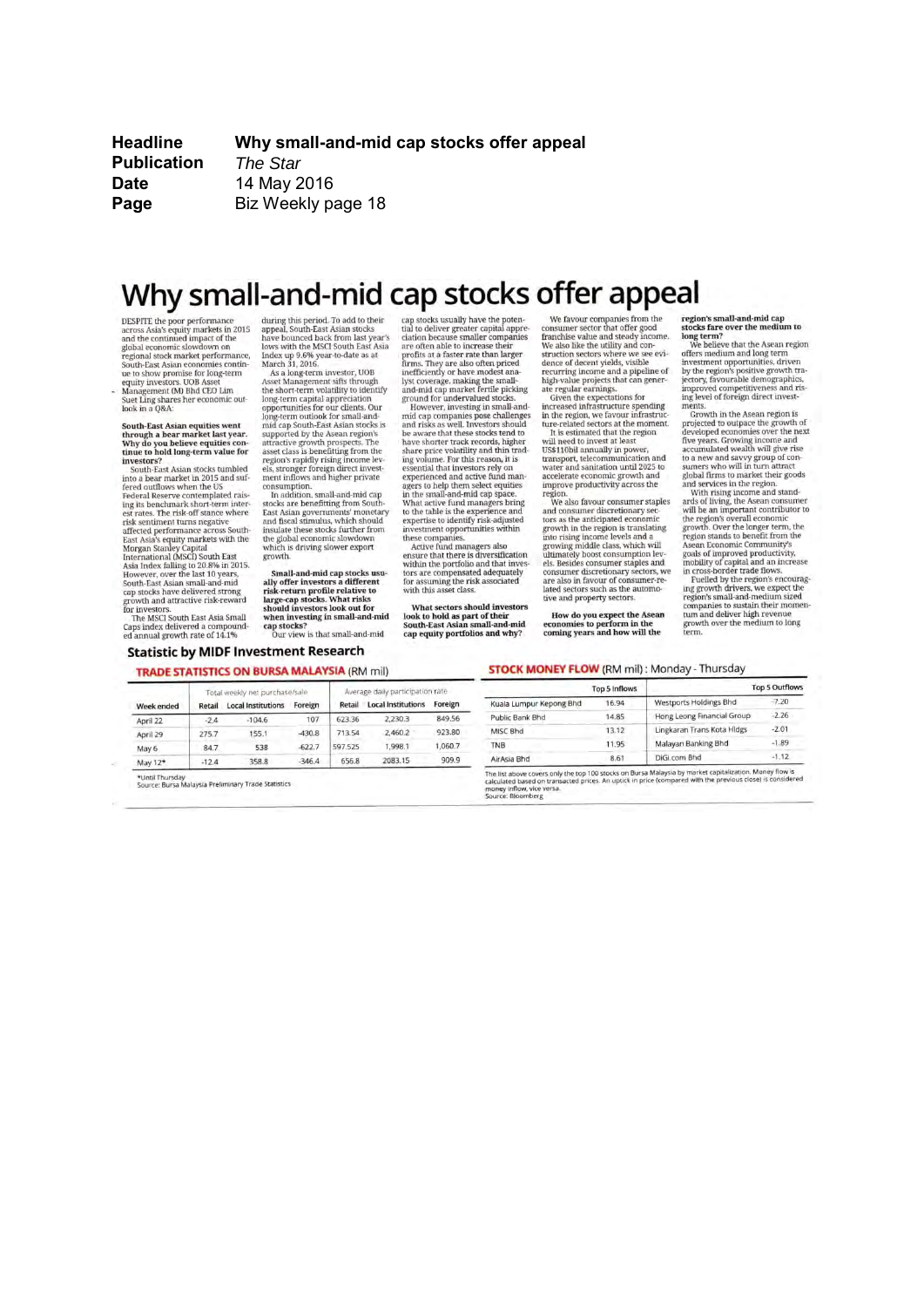**Headline Publication Date** Page

Why small-and-mid cap stocks offer appeal The Star 14 May 2016 Biz Weekly page 18

## Why small-and-mid cap stocks offer appeal

DESPITE the poor performance<br>across Asia's equity markets in 2015<br>and the continued impact of the and the continued impact of the<br>global economic slowdown on<br>regional stock market performance,<br>South-East Asian economies contin-South-East Asian economies contu<br>to the show promise for long-term<br>equity investors. UOB Asset<br>Management (M) Bhd CEO Lim<br>Suet Ling shares her economic ou<br>look in a Q&A:

ic out

÷

South-East Asian equities went<br>through a bear market last year.<br>Why do you believe equities con-<br>tinue to hold long-term value for investors?

**vestors:**<br>South-Fast Asian stocks tumbled into a bear market in 2015 and suf-<br>fered outflows when the US into a bear market in 2013 and sufficient<br>of the difference contemplated raises feed outflows when the US Federal Reserve contemplated raises<br>ing its benchmark short-term interest rates. The risk-off stance where<br>affected

Caps index delivered a compound-<br>ed annual growth rate of 14.1%

Week ender

April 22

April 29

during this period. To add to their<br>appeal, South-East Asian stocks<br>have bounced back from last year's<br>lows with the MSCI South East Asia Index up 9.6% year-to-date as at<br>March 31, 2016. As a long-term investor, UOB

Asset Management sifts through<br>the short-term volatility to identify long-term capital appreciation long-term captial appreciation<br>opportunities for our clients. Our<br>long-term outlook for small-and-<br>mid cap South-East Asian stocks is<br>supported by the Asean region's<br>attractive growth prospects. The<br>asset class is benefitt

region's rapidly rising income levels, stronger foreign direct investment inflows and higher private consumption.<br>In addition, small-and-mid cap stocks are benefitting from South

East Asian governments' monetary<br>and fiscal stimulus, which should insulate these stocks further from the global economic slowdown ch is driving slower export whi growth

Small-and-mid cap stocks usually offer investors a different<br>risk-return profile relative to<br>large-cap stocks. What risks<br>should investors look out for when investing in small-and-mid cap stocks?<br>Our view is that small-and-mid

**Statistic by MIDF Investment Research** 

107

 $-430.8$ 

623.36

713.54

656.8

cap stocks usually have the potential to deliver greater capital appreciation because smaller companies<br>are often able to increase their<br>profits at a faster rate than larger

firms. They are also often priced<br>inefficiently or have modest ana-Figure and coverage, making the small-<br>and-mid cap market fertile picking<br>ground for undervalued stocks. However, investing in small-and<br>mid cap companies pose challenges<br>and risks as well. Investors should<br>be aware that these stocks tend to have shorter track records, higher<br>share price volatility and thin trad-<br>ing volume. For this reason, it is<br>essential that investors rely on experienced and active fund man agers to help them select equities<br>in the small-and-mid cap space.<br>What active fund managers bring

to the table is the experience and<br>expertise to identify risk-adjusted investment opportunities within these companies. Active fund managers also

ensure that there is diversification within the portfolio and that inves-<br>tors are compensated adequately for assuming the risk associated<br>with this asset class.

What sectors should investors look to hold as part of their<br>South-East Asian small-and-mid cap equity portfolios and why?

Average daily participation rate

2083.15

We favour companies from the<br>consumer sector that offer good<br>franchise value and steady income.<br>We also like the utility and con-

franchise value and steady income.<br>
We also like the utility and connelise value and steady incorned<br>
struction sectors where we see evidence of decern yields, visible<br>
recurring income and a pipeline of<br>
recurring income

region.<br>
We also favour consumer staples<br>
and consumer discretionary sec-<br>
tors as the anticipated economic<br>
tors as the anticipated economic<br>
prowth in the region is translating<br>
any coving middle class, which will<br>
ultim growing inaude cases, windin<br>els. Besides consumption levels.<br>The consumer discretionary sectors, we<br>are also in favour of consumer-re-<br>lated sectors such as the automotive and property sectors.

How do you expect the Asean<br>economies to perform in the<br>coming years and how will the

Trapion's small-and-mid cap<br>stocks fare over the medium to<br>long term?<br>long the believe that the Asean region<br>offers medium and long term<br>investment opportunities, driven<br>by the region's positive growth tra-<br>improved compet

improved competitiveness and rising<br>level of foreign direct investigating level of foreign direct investiments.<br>The convention of the second formulation of the secondary of the secondary of the parameter of the parameter w

### **STOCK MONEY FLOW (RM mil): Monday - Thursday**

| ite.          |                         | Top 5 Inflows |                               | <b>Top 5 Outflows</b> |
|---------------|-------------------------|---------------|-------------------------------|-----------------------|
| <b>preign</b> | Kuala Lumpur Kepong Bhd | 16.94         | <b>Westports Holdings Bhd</b> | $-7.20$               |
| 349.56        | Public Bank Bhd         | 14.85         | Hong Leong Financial Group    | $-2.26$               |
| 23.80         | MISC Bhd                | 13.12         | Lingkaran Trans Kota Hidgs    | $-2.01$               |
| .060.7        | <b>TNB</b>              | 11.95         | Malayan Banking Bhd           | $-1.89$               |
| 909.9         | AirAsia Bhd             | 8.61          | DiGi.com Bhd                  | $-1.12$               |

 $-622.7$ 597.525 May 6 847 538  $-12.4$ 358.8  $-346.4$ May 12\*

**TRADE STATISTICS ON BURSA MALAYSIA (RM mil)** Total weekly net purchase/sale

Retail Local Institutions Foreign

 $-104.6$ 

155.1

\*Until Thursday<br>Source: Bursa Malaysia Preliminary Trade Statistics

 $-2.4$ 

275.7

Retail Local Institutions Fore 2,230.3 849 2,460.2 923 1,998.1 1,06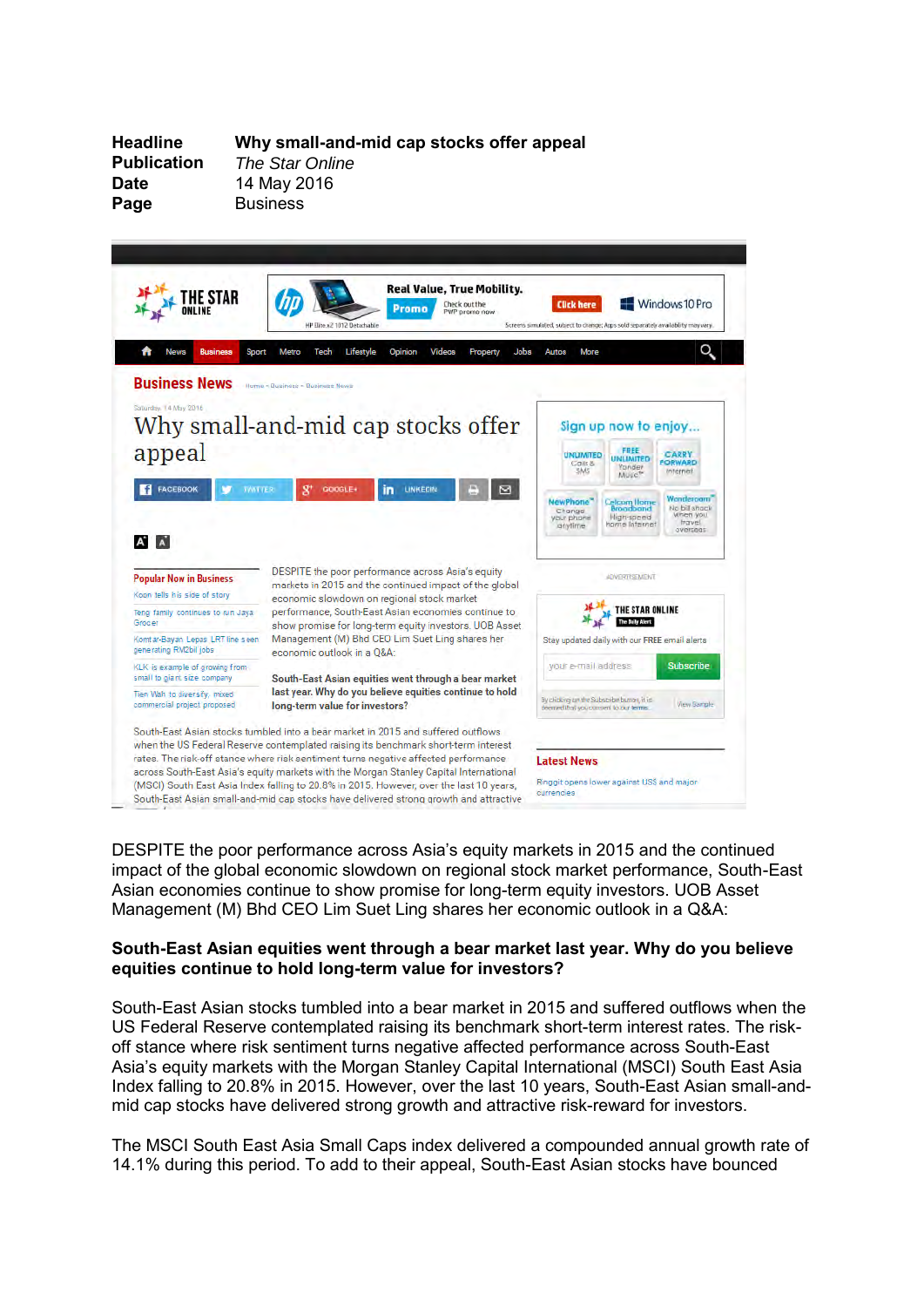**Date** 14 May 2016<br> **Page** Business

**Headline Why small-and-mid cap stocks offer appeal The Star Online Page** Business



DESPITE the poor performance across Asia's equity markets in 2015 and the continued impact of the global economic slowdown on regional stock market performance, South-East Asian economies continue to show promise for long-term equity investors. UOB Asset Management (M) Bhd CEO Lim Suet Ling shares her economic outlook in a Q&A:

## **South-East Asian equities went through a bear market last year. Why do you believe equities continue to hold long-term value for investors?**

South-East Asian stocks tumbled into a bear market in 2015 and suffered outflows when the US Federal Reserve contemplated raising its benchmark short-term interest rates. The riskoff stance where risk sentiment turns negative affected performance across South-East Asia's equity markets with the Morgan Stanley Capital International (MSCI) South East Asia Index falling to 20.8% in 2015. However, over the last 10 years, South-East Asian small-andmid cap stocks have delivered strong growth and attractive risk-reward for investors.

The MSCI South East Asia Small Caps index delivered a compounded annual growth rate of 14.1% during this period. To add to their appeal, South-East Asian stocks have bounced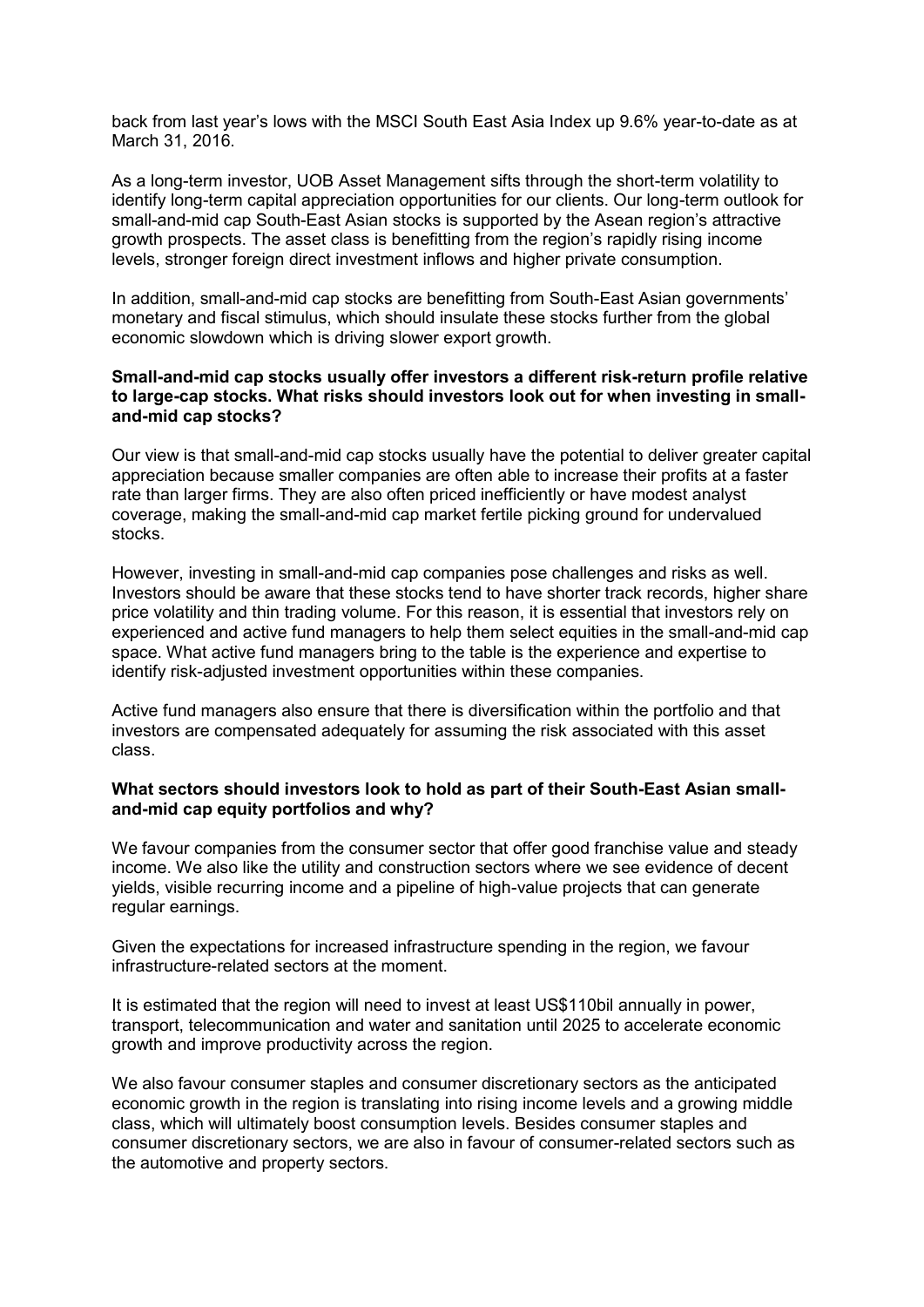back from last year's lows with the MSCI South East Asia Index up 9.6% year-to-date as at March 31, 2016.

As a long-term investor, UOB Asset Management sifts through the short-term volatility to identify long-term capital appreciation opportunities for our clients. Our long-term outlook for small-and-mid cap South-East Asian stocks is supported by the Asean region's attractive growth prospects. The asset class is benefitting from the region's rapidly rising income levels, stronger foreign direct investment inflows and higher private consumption.

In addition, small-and-mid cap stocks are benefitting from South-East Asian governments' monetary and fiscal stimulus, which should insulate these stocks further from the global economic slowdown which is driving slower export growth.

## **Small-and-mid cap stocks usually offer investors a different risk-return profile relative to large-cap stocks. What risks should investors look out for when investing in smalland-mid cap stocks?**

Our view is that small-and-mid cap stocks usually have the potential to deliver greater capital appreciation because smaller companies are often able to increase their profits at a faster rate than larger firms. They are also often priced inefficiently or have modest analyst coverage, making the small-and-mid cap market fertile picking ground for undervalued stocks.

However, investing in small-and-mid cap companies pose challenges and risks as well. Investors should be aware that these stocks tend to have shorter track records, higher share price volatility and thin trading volume. For this reason, it is essential that investors rely on experienced and active fund managers to help them select equities in the small-and-mid cap space. What active fund managers bring to the table is the experience and expertise to identify risk-adjusted investment opportunities within these companies.

Active fund managers also ensure that there is diversification within the portfolio and that investors are compensated adequately for assuming the risk associated with this asset class.

## **What sectors should investors look to hold as part of their South-East Asian smalland-mid cap equity portfolios and why?**

We favour companies from the consumer sector that offer good franchise value and steady income. We also like the utility and construction sectors where we see evidence of decent yields, visible recurring income and a pipeline of high-value projects that can generate regular earnings.

Given the expectations for increased infrastructure spending in the region, we favour infrastructure-related sectors at the moment.

It is estimated that the region will need to invest at least US\$110bil annually in power, transport, telecommunication and water and sanitation until 2025 to accelerate economic growth and improve productivity across the region.

We also favour consumer staples and consumer discretionary sectors as the anticipated economic growth in the region is translating into rising income levels and a growing middle class, which will ultimately boost consumption levels. Besides consumer staples and consumer discretionary sectors, we are also in favour of consumer-related sectors such as the automotive and property sectors.